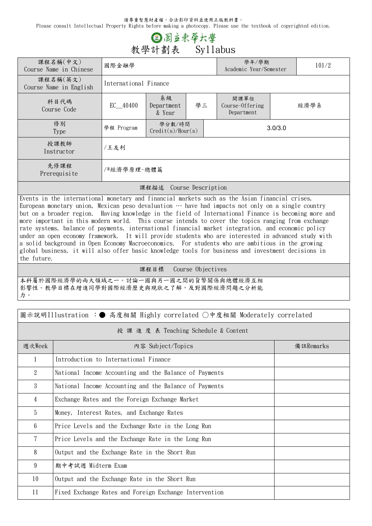請尊重智慧財產權,合法影印資料並使用正版教科書。

Please consult Intellectual Property Rights before making a photocopy. Please use the textbook of copyrighted edition.

## ② 图立束华大學 **教學計劃表 Syllabus**

| 課程名稱(中文)<br>Course Name in Chinese | 國際金融學                 |                                  |  |                                       | 學年/學期<br>Academic Year/Semester | 101/2 |  |  |
|------------------------------------|-----------------------|----------------------------------|--|---------------------------------------|---------------------------------|-------|--|--|
| 課程名稱(英文)<br>Course Name in English | International Finance |                                  |  |                                       |                                 |       |  |  |
| 科目代碼<br>Course Code                | $EC$ 40400            | 系級<br>學三<br>Department<br>& Year |  | 開課單位<br>Course-Offering<br>Department | 經濟學系                            |       |  |  |
| 修別<br>Type                         | 學程 Program            | 學分數/時間<br>Credit(s)/Hour(s)      |  |                                       | 3.0/3.0                         |       |  |  |
| 授課教師<br>Instructor                 | /王友利                  |                                  |  |                                       |                                 |       |  |  |
| 先修課程<br>Prerequisite               | /*經濟學原理-總體篇           |                                  |  |                                       |                                 |       |  |  |
| 課程描述<br>Course Description         |                       |                                  |  |                                       |                                 |       |  |  |

Events in the international monetary and financial markets such as the Asian financial crises, European monetary union, Mexican peso devaluation  $\cdots$  have had impacts not only on a single country but on a broader region. Having knowledge in the field of International Finance is becoming more and more important in this modern world. This course intends to cover the topics ranging from exchange rate systems, balance of payments, international financial market integration, and economic policy under an open economy framework. It will provide students who are interested in advanced study with a solid background in Open Economy Macroeconomics. For students who are ambitious in the growing global business, it will also offer basic knowledge tools for business and investment decisions in the future.

**課程目標 Course Objectives**

本科屬於國際經濟學的兩大領域之一。討論一國與另一國之間的貨幣關係與總體經濟互相 影響性。教學目標在增進同學對國際經濟歷史與現狀之了解,及對國際經濟問題之分析能 力。

| 圖示說明Illustration :● 高度相關 Highly correlated ○中度相關 Moderately correlated |                                                        |           |  |  |  |  |
|------------------------------------------------------------------------|--------------------------------------------------------|-----------|--|--|--|--|
| 授 課 進 度 表 Teaching Schedule & Content                                  |                                                        |           |  |  |  |  |
| 週次Week                                                                 | 内容 Subject/Topics                                      | 備註Remarks |  |  |  |  |
| 1                                                                      | Introduction to International Finance                  |           |  |  |  |  |
| $\overline{2}$                                                         | National Income Accounting and the Balance of Payments |           |  |  |  |  |
| 3                                                                      | National Income Accounting and the Balance of Payments |           |  |  |  |  |
| 4                                                                      | Exchange Rates and the Foreign Exchange Market         |           |  |  |  |  |
| 5                                                                      | Money, Interest Rates, and Exchange Rates              |           |  |  |  |  |
| 6                                                                      | Price Levels and the Exchange Rate in the Long Run     |           |  |  |  |  |
| 7                                                                      | Price Levels and the Exchange Rate in the Long Run     |           |  |  |  |  |
| 8                                                                      | Output and the Exchange Rate in the Short Run          |           |  |  |  |  |
| 9                                                                      | 期中考試週 Midterm Exam                                     |           |  |  |  |  |
| 10                                                                     | Output and the Exchange Rate in the Short Run          |           |  |  |  |  |
| 11                                                                     | Fixed Exchange Rates and Foreign Exchange Intervention |           |  |  |  |  |